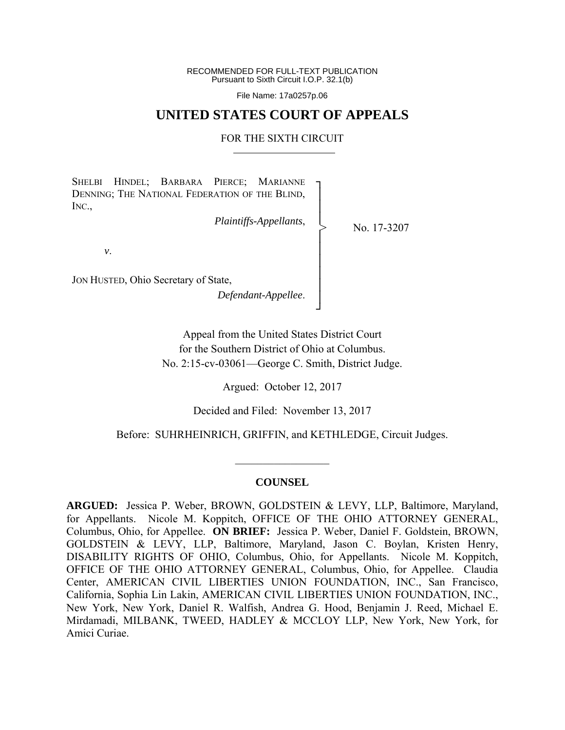RECOMMENDED FOR FULL-TEXT PUBLICATION Pursuant to Sixth Circuit I.O.P. 32.1(b)

File Name: 17a0257p.06

# **UNITED STATES COURT OF APPEALS**

## FOR THE SIXTH CIRCUIT

┐ │ │ │ │ │ │ │ │ │ ┘

>

SHELBI HINDEL; BARBARA PIERCE; MARIANNE DENNING; THE NATIONAL FEDERATION OF THE BLIND, INC.,

*Plaintiffs-Appellants*,

No. 17-3207

*v*.

JON HUSTED, Ohio Secretary of State,

*Defendant-Appellee*.

Appeal from the United States District Court for the Southern District of Ohio at Columbus. No. 2:15-cv-03061—George C. Smith, District Judge.

Argued: October 12, 2017

Decided and Filed: November 13, 2017

Before: SUHRHEINRICH, GRIFFIN, and KETHLEDGE, Circuit Judges.

## **COUNSEL**

 $\frac{1}{2}$  ,  $\frac{1}{2}$  ,  $\frac{1}{2}$  ,  $\frac{1}{2}$  ,  $\frac{1}{2}$  ,  $\frac{1}{2}$  ,  $\frac{1}{2}$  ,  $\frac{1}{2}$  ,  $\frac{1}{2}$ 

**ARGUED:** Jessica P. Weber, BROWN, GOLDSTEIN & LEVY, LLP, Baltimore, Maryland, for Appellants. Nicole M. Koppitch, OFFICE OF THE OHIO ATTORNEY GENERAL, Columbus, Ohio, for Appellee. **ON BRIEF:** Jessica P. Weber, Daniel F. Goldstein, BROWN, GOLDSTEIN & LEVY, LLP, Baltimore, Maryland, Jason C. Boylan, Kristen Henry, DISABILITY RIGHTS OF OHIO, Columbus, Ohio, for Appellants. Nicole M. Koppitch, OFFICE OF THE OHIO ATTORNEY GENERAL, Columbus, Ohio, for Appellee. Claudia Center, AMERICAN CIVIL LIBERTIES UNION FOUNDATION, INC., San Francisco, California, Sophia Lin Lakin, AMERICAN CIVIL LIBERTIES UNION FOUNDATION, INC., New York, New York, Daniel R. Walfish, Andrea G. Hood, Benjamin J. Reed, Michael E. Mirdamadi, MILBANK, TWEED, HADLEY & MCCLOY LLP, New York, New York, for Amici Curiae.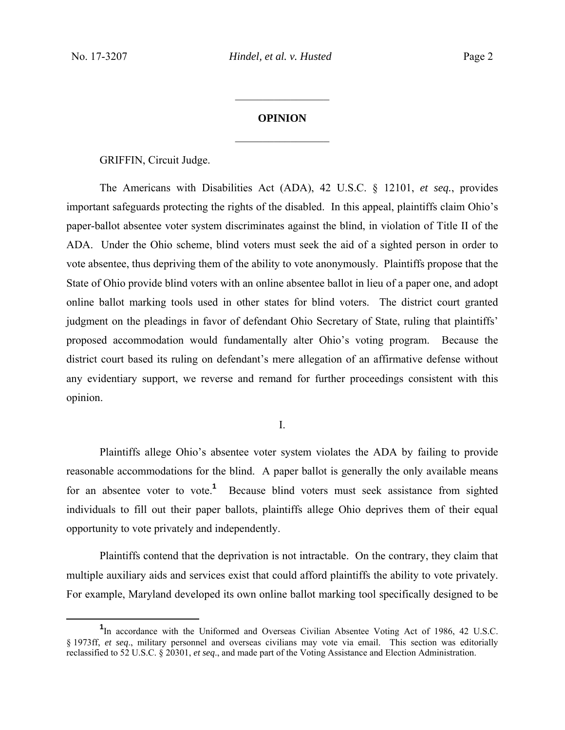# **OPINION**

 $\frac{1}{2}$ 

 $\frac{1}{2}$ 

GRIFFIN, Circuit Judge.

The Americans with Disabilities Act (ADA), 42 U.S.C. § 12101, *et seq.*, provides important safeguards protecting the rights of the disabled. In this appeal, plaintiffs claim Ohio's paper-ballot absentee voter system discriminates against the blind, in violation of Title II of the ADA. Under the Ohio scheme, blind voters must seek the aid of a sighted person in order to vote absentee, thus depriving them of the ability to vote anonymously. Plaintiffs propose that the State of Ohio provide blind voters with an online absentee ballot in lieu of a paper one, and adopt online ballot marking tools used in other states for blind voters. The district court granted judgment on the pleadings in favor of defendant Ohio Secretary of State, ruling that plaintiffs' proposed accommodation would fundamentally alter Ohio's voting program. Because the district court based its ruling on defendant's mere allegation of an affirmative defense without any evidentiary support, we reverse and remand for further proceedings consistent with this opinion.

I.

Plaintiffs allege Ohio's absentee voter system violates the ADA by failing to provide reasonable accommodations for the blind. A paper ballot is generally the only available means for an absentee voter to vote.<sup>1</sup> Because blind voters must seek assistance from sighted individuals to fill out their paper ballots, plaintiffs allege Ohio deprives them of their equal opportunity to vote privately and independently.

Plaintiffs contend that the deprivation is not intractable. On the contrary, they claim that multiple auxiliary aids and services exist that could afford plaintiffs the ability to vote privately. For example, Maryland developed its own online ballot marking tool specifically designed to be

<sup>&</sup>lt;u>1</u> <sup>1</sup>In accordance with the Uniformed and Overseas Civilian Absentee Voting Act of 1986, 42 U.S.C. § 1973ff, *et seq*., military personnel and overseas civilians may vote via email. This section was editorially reclassified to 52 U.S.C. § 20301, *et seq*., and made part of the Voting Assistance and Election Administration.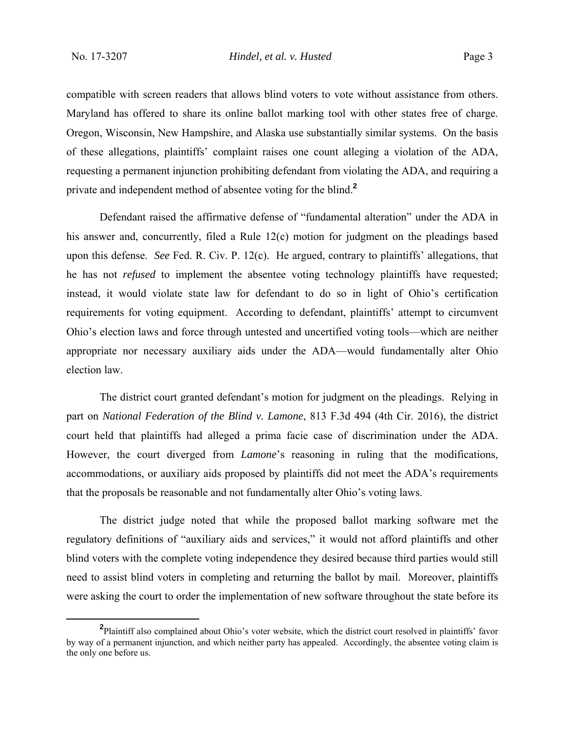compatible with screen readers that allows blind voters to vote without assistance from others. Maryland has offered to share its online ballot marking tool with other states free of charge. Oregon, Wisconsin, New Hampshire, and Alaska use substantially similar systems. On the basis of these allegations, plaintiffs' complaint raises one count alleging a violation of the ADA, requesting a permanent injunction prohibiting defendant from violating the ADA, and requiring a private and independent method of absentee voting for the blind.**<sup>2</sup>**

Defendant raised the affirmative defense of "fundamental alteration" under the ADA in his answer and, concurrently, filed a Rule 12(c) motion for judgment on the pleadings based upon this defense. *See* Fed. R. Civ. P. 12(c). He argued, contrary to plaintiffs' allegations, that he has not *refused* to implement the absentee voting technology plaintiffs have requested; instead, it would violate state law for defendant to do so in light of Ohio's certification requirements for voting equipment. According to defendant, plaintiffs' attempt to circumvent Ohio's election laws and force through untested and uncertified voting tools—which are neither appropriate nor necessary auxiliary aids under the ADA—would fundamentally alter Ohio election law.

The district court granted defendant's motion for judgment on the pleadings. Relying in part on *National Federation of the Blind v. Lamone*, 813 F.3d 494 (4th Cir. 2016), the district court held that plaintiffs had alleged a prima facie case of discrimination under the ADA. However, the court diverged from *Lamone*'s reasoning in ruling that the modifications, accommodations, or auxiliary aids proposed by plaintiffs did not meet the ADA's requirements that the proposals be reasonable and not fundamentally alter Ohio's voting laws.

The district judge noted that while the proposed ballot marking software met the regulatory definitions of "auxiliary aids and services," it would not afford plaintiffs and other blind voters with the complete voting independence they desired because third parties would still need to assist blind voters in completing and returning the ballot by mail. Moreover, plaintiffs were asking the court to order the implementation of new software throughout the state before its

**<sup>2</sup>** Plaintiff also complained about Ohio's voter website, which the district court resolved in plaintiffs' favor by way of a permanent injunction, and which neither party has appealed. Accordingly, the absentee voting claim is the only one before us.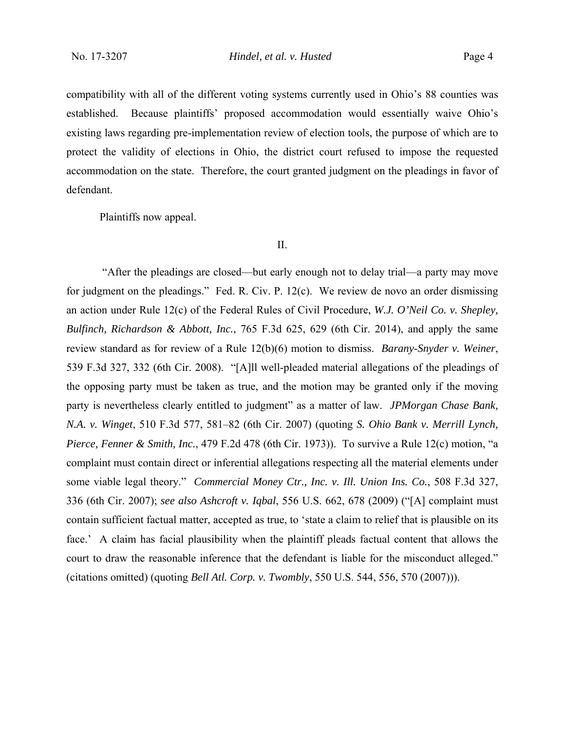compatibility with all of the different voting systems currently used in Ohio's 88 counties was established. Because plaintiffs' proposed accommodation would essentially waive Ohio's existing laws regarding pre-implementation review of election tools, the purpose of which are to protect the validity of elections in Ohio, the district court refused to impose the requested accommodation on the state. Therefore, the court granted judgment on the pleadings in favor of defendant.

Plaintiffs now appeal.

#### II.

 "After the pleadings are closed—but early enough not to delay trial—a party may move for judgment on the pleadings." Fed. R. Civ. P. 12(c). We review de novo an order dismissing an action under Rule 12(c) of the Federal Rules of Civil Procedure, *W.J. O'Neil Co. v. Shepley, Bulfinch, Richardson & Abbott, Inc.*, 765 F.3d 625, 629 (6th Cir. 2014), and apply the same review standard as for review of a Rule 12(b)(6) motion to dismiss. *Barany-Snyder v. Weiner*, 539 F.3d 327, 332 (6th Cir. 2008). "[A]ll well-pleaded material allegations of the pleadings of the opposing party must be taken as true, and the motion may be granted only if the moving party is nevertheless clearly entitled to judgment" as a matter of law. *JPMorgan Chase Bank, N.A. v. Winget*, 510 F.3d 577, 581–82 (6th Cir. 2007) (quoting *S. Ohio Bank v. Merrill Lynch, Pierce, Fenner & Smith, Inc.*, 479 F.2d 478 (6th Cir. 1973)). To survive a Rule 12(c) motion, "a complaint must contain direct or inferential allegations respecting all the material elements under some viable legal theory." *Commercial Money Ctr., Inc. v. Ill. Union Ins. Co.*, 508 F.3d 327, 336 (6th Cir. 2007); *see also Ashcroft v. Iqbal*, 556 U.S. 662, 678 (2009) ("[A] complaint must contain sufficient factual matter, accepted as true, to 'state a claim to relief that is plausible on its face.' A claim has facial plausibility when the plaintiff pleads factual content that allows the court to draw the reasonable inference that the defendant is liable for the misconduct alleged." (citations omitted) (quoting *Bell Atl. Corp. v. Twombly*, 550 U.S. 544, 556, 570 (2007))).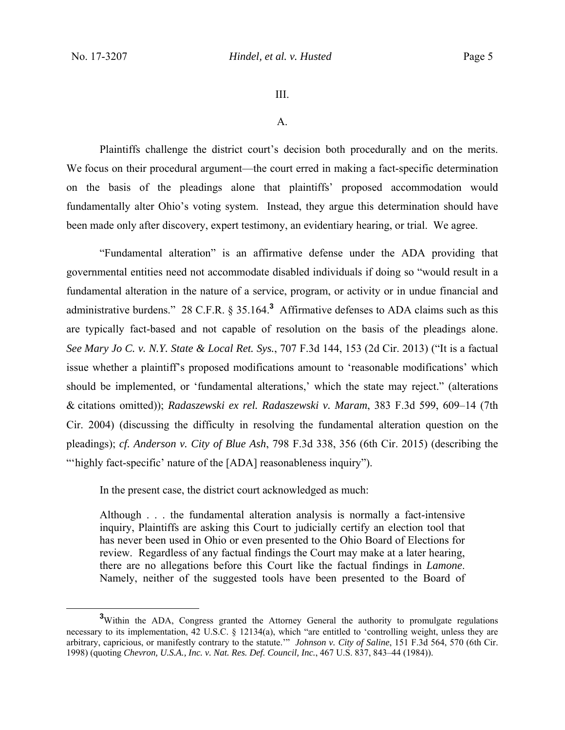### III.

#### A.

Plaintiffs challenge the district court's decision both procedurally and on the merits. We focus on their procedural argument—the court erred in making a fact-specific determination on the basis of the pleadings alone that plaintiffs' proposed accommodation would fundamentally alter Ohio's voting system. Instead, they argue this determination should have been made only after discovery, expert testimony, an evidentiary hearing, or trial. We agree.

"Fundamental alteration" is an affirmative defense under the ADA providing that governmental entities need not accommodate disabled individuals if doing so "would result in a fundamental alteration in the nature of a service, program, or activity or in undue financial and administrative burdens." 28 C.F.R. § 35.164.**<sup>3</sup>** Affirmative defenses to ADA claims such as this are typically fact-based and not capable of resolution on the basis of the pleadings alone. *See Mary Jo C. v. N.Y. State & Local Ret. Sys.*, 707 F.3d 144, 153 (2d Cir. 2013) ("It is a factual issue whether a plaintiff's proposed modifications amount to 'reasonable modifications' which should be implemented, or 'fundamental alterations,' which the state may reject." (alterations & citations omitted)); *Radaszewski ex rel. Radaszewski v. Maram*, 383 F.3d 599, 609–14 (7th Cir. 2004) (discussing the difficulty in resolving the fundamental alteration question on the pleadings); *cf. Anderson v. City of Blue Ash*, 798 F.3d 338, 356 (6th Cir. 2015) (describing the "highly fact-specific' nature of the [ADA] reasonableness inquiry").

In the present case, the district court acknowledged as much:

Although . . . the fundamental alteration analysis is normally a fact-intensive inquiry, Plaintiffs are asking this Court to judicially certify an election tool that has never been used in Ohio or even presented to the Ohio Board of Elections for review. Regardless of any factual findings the Court may make at a later hearing, there are no allegations before this Court like the factual findings in *Lamone*. Namely, neither of the suggested tools have been presented to the Board of

**<sup>3</sup>** <sup>3</sup>Within the ADA, Congress granted the Attorney General the authority to promulgate regulations necessary to its implementation, 42 U.S.C. § 12134(a), which "are entitled to 'controlling weight, unless they are arbitrary, capricious, or manifestly contrary to the statute.'" *Johnson v. City of Saline*, 151 F.3d 564, 570 (6th Cir. 1998) (quoting *Chevron, U.S.A., Inc. v. Nat. Res. Def. Council, Inc.*, 467 U.S. 837, 843–44 (1984)).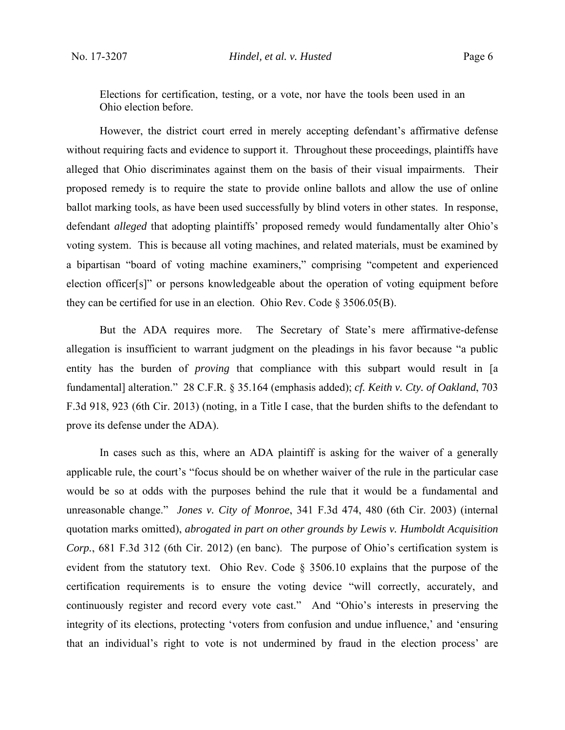Elections for certification, testing, or a vote, nor have the tools been used in an Ohio election before.

However, the district court erred in merely accepting defendant's affirmative defense without requiring facts and evidence to support it. Throughout these proceedings, plaintiffs have alleged that Ohio discriminates against them on the basis of their visual impairments. Their proposed remedy is to require the state to provide online ballots and allow the use of online ballot marking tools, as have been used successfully by blind voters in other states. In response, defendant *alleged* that adopting plaintiffs' proposed remedy would fundamentally alter Ohio's voting system. This is because all voting machines, and related materials, must be examined by a bipartisan "board of voting machine examiners," comprising "competent and experienced election officer[s]" or persons knowledgeable about the operation of voting equipment before they can be certified for use in an election. Ohio Rev. Code § 3506.05(B).

But the ADA requires more. The Secretary of State's mere affirmative-defense allegation is insufficient to warrant judgment on the pleadings in his favor because "a public entity has the burden of *proving* that compliance with this subpart would result in [a fundamental] alteration." 28 C.F.R. § 35.164 (emphasis added); *cf. Keith v. Cty. of Oakland*, 703 F.3d 918, 923 (6th Cir. 2013) (noting, in a Title I case, that the burden shifts to the defendant to prove its defense under the ADA).

In cases such as this, where an ADA plaintiff is asking for the waiver of a generally applicable rule, the court's "focus should be on whether waiver of the rule in the particular case would be so at odds with the purposes behind the rule that it would be a fundamental and unreasonable change." *Jones v. City of Monroe*, 341 F.3d 474, 480 (6th Cir. 2003) (internal quotation marks omitted), *abrogated in part on other grounds by Lewis v. Humboldt Acquisition Corp.*, 681 F.3d 312 (6th Cir. 2012) (en banc). The purpose of Ohio's certification system is evident from the statutory text. Ohio Rev. Code § 3506.10 explains that the purpose of the certification requirements is to ensure the voting device "will correctly, accurately, and continuously register and record every vote cast." And "Ohio's interests in preserving the integrity of its elections, protecting 'voters from confusion and undue influence,' and 'ensuring that an individual's right to vote is not undermined by fraud in the election process' are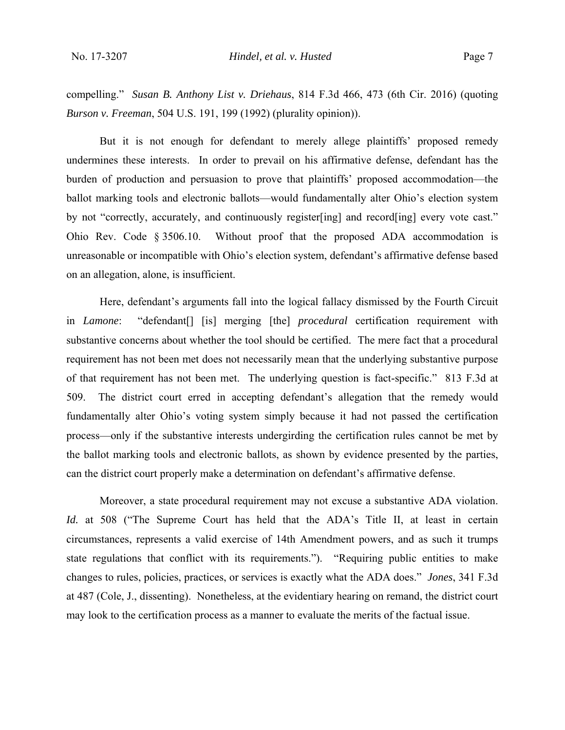compelling." *Susan B. Anthony List v. Driehaus*, 814 F.3d 466, 473 (6th Cir. 2016) (quoting *Burson v. Freeman*, 504 U.S. 191, 199 (1992) (plurality opinion)).

But it is not enough for defendant to merely allege plaintiffs' proposed remedy undermines these interests. In order to prevail on his affirmative defense, defendant has the burden of production and persuasion to prove that plaintiffs' proposed accommodation—the ballot marking tools and electronic ballots—would fundamentally alter Ohio's election system by not "correctly, accurately, and continuously register[ing] and record[ing] every vote cast." Ohio Rev. Code § 3506.10. Without proof that the proposed ADA accommodation is unreasonable or incompatible with Ohio's election system, defendant's affirmative defense based on an allegation, alone, is insufficient.

Here, defendant's arguments fall into the logical fallacy dismissed by the Fourth Circuit in *Lamone*: "defendant[] [is] merging [the] *procedural* certification requirement with substantive concerns about whether the tool should be certified. The mere fact that a procedural requirement has not been met does not necessarily mean that the underlying substantive purpose of that requirement has not been met. The underlying question is fact-specific." 813 F.3d at 509. The district court erred in accepting defendant's allegation that the remedy would fundamentally alter Ohio's voting system simply because it had not passed the certification process—only if the substantive interests undergirding the certification rules cannot be met by the ballot marking tools and electronic ballots, as shown by evidence presented by the parties, can the district court properly make a determination on defendant's affirmative defense.

Moreover, a state procedural requirement may not excuse a substantive ADA violation. *Id.* at 508 ("The Supreme Court has held that the ADA's Title II, at least in certain circumstances, represents a valid exercise of 14th Amendment powers, and as such it trumps state regulations that conflict with its requirements."). "Requiring public entities to make changes to rules, policies, practices, or services is exactly what the ADA does." *Jones*, 341 F.3d at 487 (Cole, J., dissenting). Nonetheless, at the evidentiary hearing on remand, the district court may look to the certification process as a manner to evaluate the merits of the factual issue.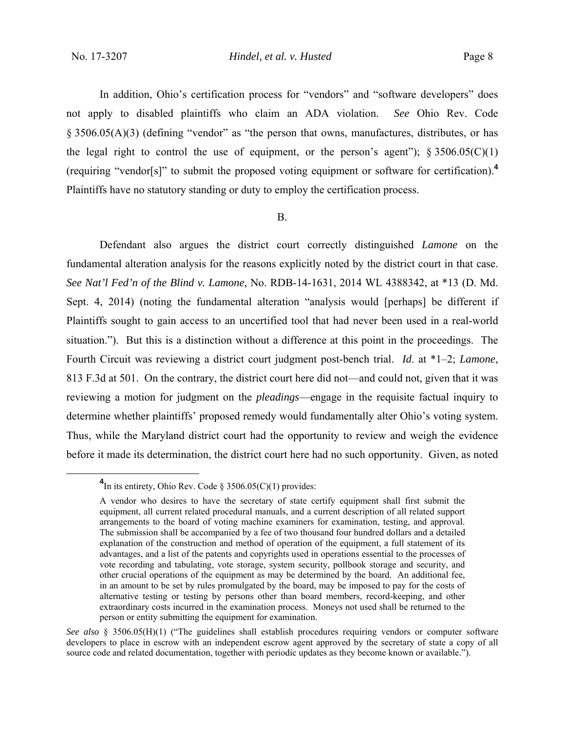In addition, Ohio's certification process for "vendors" and "software developers" does not apply to disabled plaintiffs who claim an ADA violation. *See* Ohio Rev. Code § 3506.05(A)(3) (defining "vendor" as "the person that owns, manufactures, distributes, or has the legal right to control the use of equipment, or the person's agent");  $\S 3506.05(C)(1)$ (requiring "vendor[s]" to submit the proposed voting equipment or software for certification).**<sup>4</sup>** Plaintiffs have no statutory standing or duty to employ the certification process.

#### B.

Defendant also argues the district court correctly distinguished *Lamone* on the fundamental alteration analysis for the reasons explicitly noted by the district court in that case. *See Nat'l Fed'n of the Blind v. Lamone*, No. RDB-14-1631, 2014 WL 4388342, at \*13 (D. Md. Sept. 4, 2014) (noting the fundamental alteration "analysis would [perhaps] be different if Plaintiffs sought to gain access to an uncertified tool that had never been used in a real-world situation."). But this is a distinction without a difference at this point in the proceedings. The Fourth Circuit was reviewing a district court judgment post-bench trial. *Id*. at \*1–2; *Lamone*, 813 F.3d at 501. On the contrary, the district court here did not—and could not, given that it was reviewing a motion for judgment on the *pleadings*—engage in the requisite factual inquiry to determine whether plaintiffs' proposed remedy would fundamentally alter Ohio's voting system. Thus, while the Maryland district court had the opportunity to review and weigh the evidence before it made its determination, the district court here had no such opportunity. Given, as noted

**<sup>4</sup>**  $\frac{4}{\pi}$ In its entirety, Ohio Rev. Code § 3506.05(C)(1) provides:

A vendor who desires to have the secretary of state certify equipment shall first submit the equipment, all current related procedural manuals, and a current description of all related support arrangements to the board of voting machine examiners for examination, testing, and approval. The submission shall be accompanied by a fee of two thousand four hundred dollars and a detailed explanation of the construction and method of operation of the equipment, a full statement of its advantages, and a list of the patents and copyrights used in operations essential to the processes of vote recording and tabulating, vote storage, system security, pollbook storage and security, and other crucial operations of the equipment as may be determined by the board. An additional fee, in an amount to be set by rules promulgated by the board, may be imposed to pay for the costs of alternative testing or testing by persons other than board members, record-keeping, and other extraordinary costs incurred in the examination process. Moneys not used shall be returned to the person or entity submitting the equipment for examination.

*See also* § 3506.05(H)(1) ("The guidelines shall establish procedures requiring vendors or computer software developers to place in escrow with an independent escrow agent approved by the secretary of state a copy of all source code and related documentation, together with periodic updates as they become known or available.").